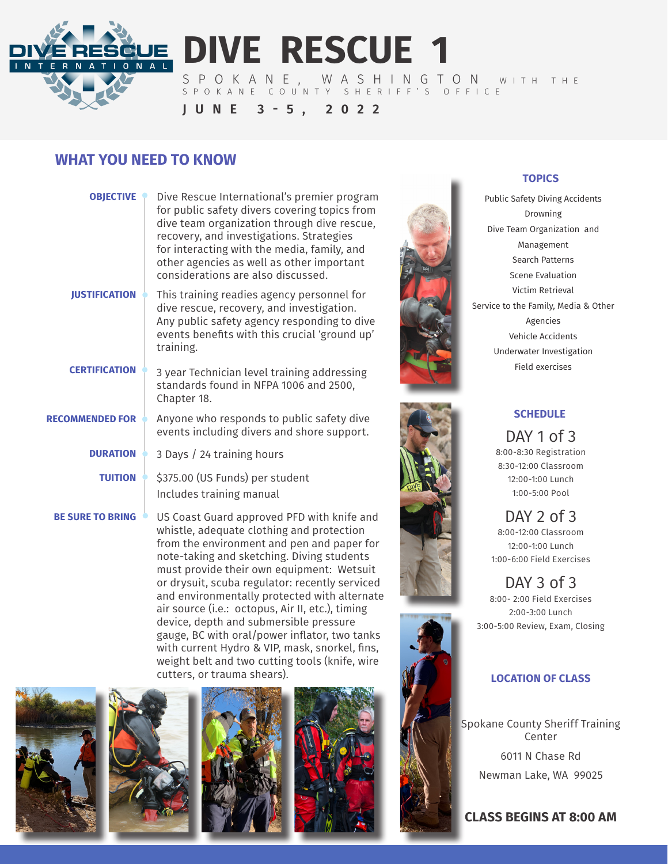

**DIVE RESCUE 1**

SPOKANE, WASHINGTON WITH THE SPOKANE COUNTY SHERIFF'S OFFICE

**JUNE 3-5, 2022**

## **WHAT YOU NEED TO KNOW**

| <b>OBJECTIVE</b>        | Dive Rescue International's premier program<br>for public safety divers covering topics from<br>dive team organization through dive rescue,<br>recovery, and investigations. Strategies<br>for interacting with the media, family, and<br>other agencies as well as other important<br>considerations are also discussed. |
|-------------------------|---------------------------------------------------------------------------------------------------------------------------------------------------------------------------------------------------------------------------------------------------------------------------------------------------------------------------|
| <b>JUSTIFICATION</b>    | This training readies agency personnel for<br>dive rescue, recovery, and investigation.<br>Any public safety agency responding to dive<br>events benefits with this crucial 'ground up'<br>training.                                                                                                                      |
| <b>CERTIFICATION</b>    | 3 year Technician level training addressing<br>standards found in NFPA 1006 and 2500,<br>Chapter 18.                                                                                                                                                                                                                      |
| <b>RECOMMENDED FOR</b>  | Anyone who responds to public safety dive<br>events including divers and shore support.                                                                                                                                                                                                                                   |
| <b>DURATION</b>         | 3 Days / 24 training hours                                                                                                                                                                                                                                                                                                |
| <b>TUITION</b>          | \$375.00 (US Funds) per student<br>Includes training manual                                                                                                                                                                                                                                                               |
| <b>BE SURE TO BRING</b> | US Coast Guard approved PFD with knife and                                                                                                                                                                                                                                                                                |

US Coast Guard approved PFD with knife and whistle, adequate clothing and protection from the environment and pen and paper for note-taking and sketching. Diving students must provide their own equipment: Wetsuit or drysuit, scuba regulator: recently serviced and environmentally protected with alternate air source (i.e.: octopus, Air II, etc.), timing device, depth and submersible pressure gauge, BC with oral/power inflator, two tanks with current Hydro & VIP, mask, snorkel, fins, weight belt and two cutting tools (knife, wire cutters, or trauma shears).











### **TOPICS**

Public Safety Diving Accidents Drowning Dive Team Organization and Management Search Patterns Scene Evaluation Victim Retrieval Service to the Family, Media & Other Agencies Vehicle Accidents Underwater Investigation Field exercises



### **SCHEDULE**

DAY 1 of 3 8:00-8:30 Registration 8:30-12:00 Classroom 12:00-1:00 Lunch 1:00-5:00 Pool

DAY 2 of 3 8:00-12:00 Classroom 12:00-1:00 Lunch 1:00-6:00 Field Exercises

DAY 3 of 3 8:00- 2:00 Field Exercises 2:00-3:00 Lunch 3:00-5:00 Review, Exam, Closing

## **LOCATION OF CLASS**

Spokane County Sheriff Training Center

6011 N Chase Rd Newman Lake, WA 99025

**CLASS BEGINS AT 8:00 AM**